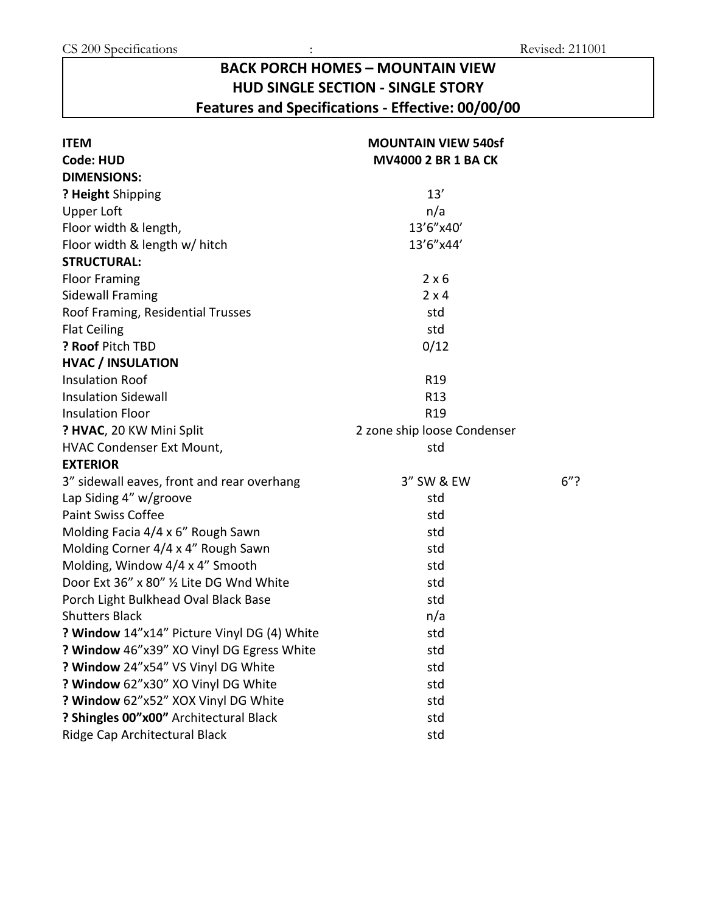## **BACK PORCH HOMES – MOUNTAIN VIEW HUD SINGLE SECTION - SINGLE STORY Features and Specifications - Effective: 00/00/00**

| <b>ITEM</b>                                 | <b>MOUNTAIN VIEW 540sf</b>  |     |  |
|---------------------------------------------|-----------------------------|-----|--|
| <b>Code: HUD</b>                            | <b>MV4000 2 BR 1 BA CK</b>  |     |  |
| <b>DIMENSIONS:</b>                          |                             |     |  |
| ? Height Shipping                           | 13'                         |     |  |
| Upper Loft                                  | n/a                         |     |  |
| Floor width & length,                       | 13'6"x40'                   |     |  |
| Floor width & length w/ hitch               | 13'6"x44'                   |     |  |
| <b>STRUCTURAL:</b>                          |                             |     |  |
| <b>Floor Framing</b>                        | $2 \times 6$                |     |  |
| <b>Sidewall Framing</b>                     | $2 \times 4$                |     |  |
| Roof Framing, Residential Trusses           | std                         |     |  |
| <b>Flat Ceiling</b>                         | std                         |     |  |
| ? Roof Pitch TBD                            | 0/12                        |     |  |
| <b>HVAC / INSULATION</b>                    |                             |     |  |
| <b>Insulation Roof</b>                      | R <sub>19</sub>             |     |  |
| <b>Insulation Sidewall</b>                  | R <sub>13</sub>             |     |  |
| <b>Insulation Floor</b>                     | R <sub>19</sub>             |     |  |
| ? HVAC, 20 KW Mini Split                    | 2 zone ship loose Condenser |     |  |
| HVAC Condenser Ext Mount,                   | std                         |     |  |
| <b>EXTERIOR</b>                             |                             |     |  |
| 3" sidewall eaves, front and rear overhang  | 3" SW & EW                  | 6"? |  |
| Lap Siding 4" w/groove                      | std                         |     |  |
| <b>Paint Swiss Coffee</b>                   | std                         |     |  |
| Molding Facia 4/4 x 6" Rough Sawn           | std                         |     |  |
| Molding Corner 4/4 x 4" Rough Sawn          | std                         |     |  |
| Molding, Window 4/4 x 4" Smooth             | std                         |     |  |
| Door Ext 36" x 80" 1/2 Lite DG Wnd White    | std                         |     |  |
| Porch Light Bulkhead Oval Black Base        | std                         |     |  |
| <b>Shutters Black</b>                       | n/a                         |     |  |
| ? Window 14"x14" Picture Vinyl DG (4) White | std                         |     |  |
| ? Window 46"x39" XO Vinyl DG Egress White   | std                         |     |  |
| ? Window 24"x54" VS Vinyl DG White          | std                         |     |  |
| ? Window 62"x30" XO Vinyl DG White          | std                         |     |  |
| ? Window 62"x52" XOX Vinyl DG White         | std                         |     |  |
| ? Shingles 00"x00" Architectural Black      | std                         |     |  |
| Ridge Cap Architectural Black               | std                         |     |  |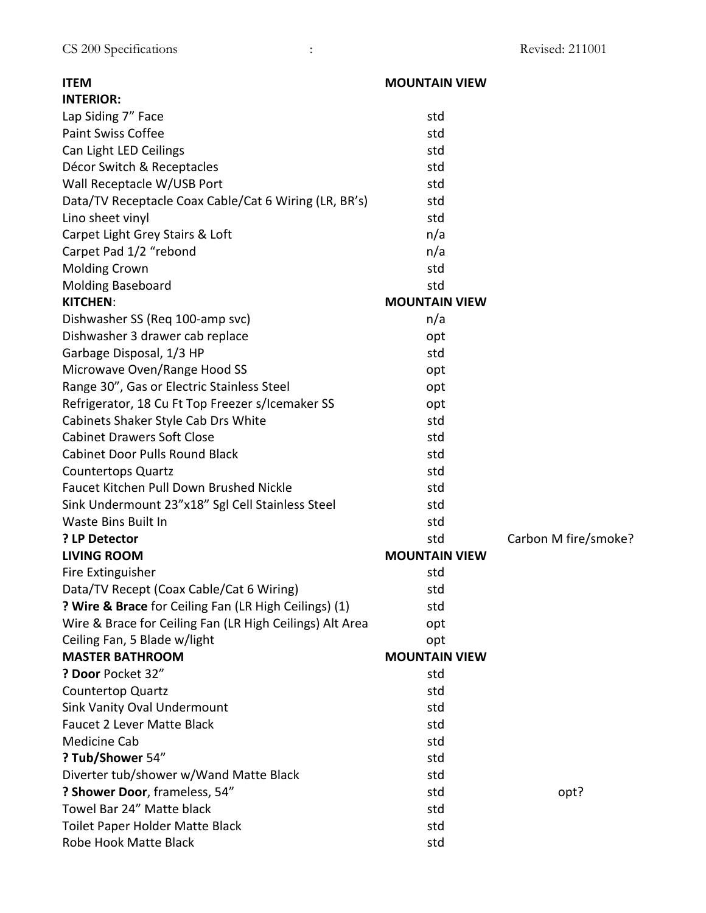| <b>ITEM</b>                                              | <b>MOUNTAIN VIEW</b> |                      |
|----------------------------------------------------------|----------------------|----------------------|
| <b>INTERIOR:</b>                                         |                      |                      |
| Lap Siding 7" Face                                       | std                  |                      |
| <b>Paint Swiss Coffee</b>                                | std                  |                      |
| Can Light LED Ceilings                                   | std                  |                      |
| Décor Switch & Receptacles                               | std                  |                      |
| Wall Receptacle W/USB Port                               | std                  |                      |
| Data/TV Receptacle Coax Cable/Cat 6 Wiring (LR, BR's)    | std                  |                      |
| Lino sheet vinyl                                         | std                  |                      |
| Carpet Light Grey Stairs & Loft                          | n/a                  |                      |
| Carpet Pad 1/2 "rebond                                   | n/a                  |                      |
| <b>Molding Crown</b>                                     | std                  |                      |
| <b>Molding Baseboard</b>                                 | std                  |                      |
| <b>KITCHEN:</b>                                          | <b>MOUNTAIN VIEW</b> |                      |
| Dishwasher SS (Req 100-amp svc)                          | n/a                  |                      |
| Dishwasher 3 drawer cab replace                          | opt                  |                      |
| Garbage Disposal, 1/3 HP                                 | std                  |                      |
| Microwave Oven/Range Hood SS                             | opt                  |                      |
| Range 30", Gas or Electric Stainless Steel               | opt                  |                      |
| Refrigerator, 18 Cu Ft Top Freezer s/Icemaker SS         | opt                  |                      |
| Cabinets Shaker Style Cab Drs White                      | std                  |                      |
| <b>Cabinet Drawers Soft Close</b>                        | std                  |                      |
| <b>Cabinet Door Pulls Round Black</b>                    | std                  |                      |
| <b>Countertops Quartz</b>                                | std                  |                      |
| <b>Faucet Kitchen Pull Down Brushed Nickle</b>           | std                  |                      |
| Sink Undermount 23"x18" Sgl Cell Stainless Steel         | std                  |                      |
| Waste Bins Built In                                      | std                  |                      |
| ? LP Detector                                            | std                  | Carbon M fire/smoke? |
| <b>LIVING ROOM</b>                                       | <b>MOUNTAIN VIEW</b> |                      |
| Fire Extinguisher                                        | std                  |                      |
| Data/TV Recept (Coax Cable/Cat 6 Wiring)                 | std                  |                      |
| ? Wire & Brace for Ceiling Fan (LR High Ceilings) (1)    | std                  |                      |
| Wire & Brace for Ceiling Fan (LR High Ceilings) Alt Area | opt                  |                      |
| Ceiling Fan, 5 Blade w/light                             | opt                  |                      |
| <b>MASTER BATHROOM</b>                                   | <b>MOUNTAIN VIEW</b> |                      |
| ? Door Pocket 32"                                        | std                  |                      |
| Countertop Quartz                                        | std                  |                      |
| <b>Sink Vanity Oval Undermount</b>                       | std                  |                      |
| Faucet 2 Lever Matte Black                               | std                  |                      |
| <b>Medicine Cab</b>                                      | std                  |                      |
| ? Tub/Shower 54"                                         | std                  |                      |
| Diverter tub/shower w/Wand Matte Black                   | std                  |                      |
| ? Shower Door, frameless, 54"                            | std                  | opt?                 |
| Towel Bar 24" Matte black                                | std                  |                      |
| Toilet Paper Holder Matte Black                          | std                  |                      |
| Robe Hook Matte Black                                    | std                  |                      |